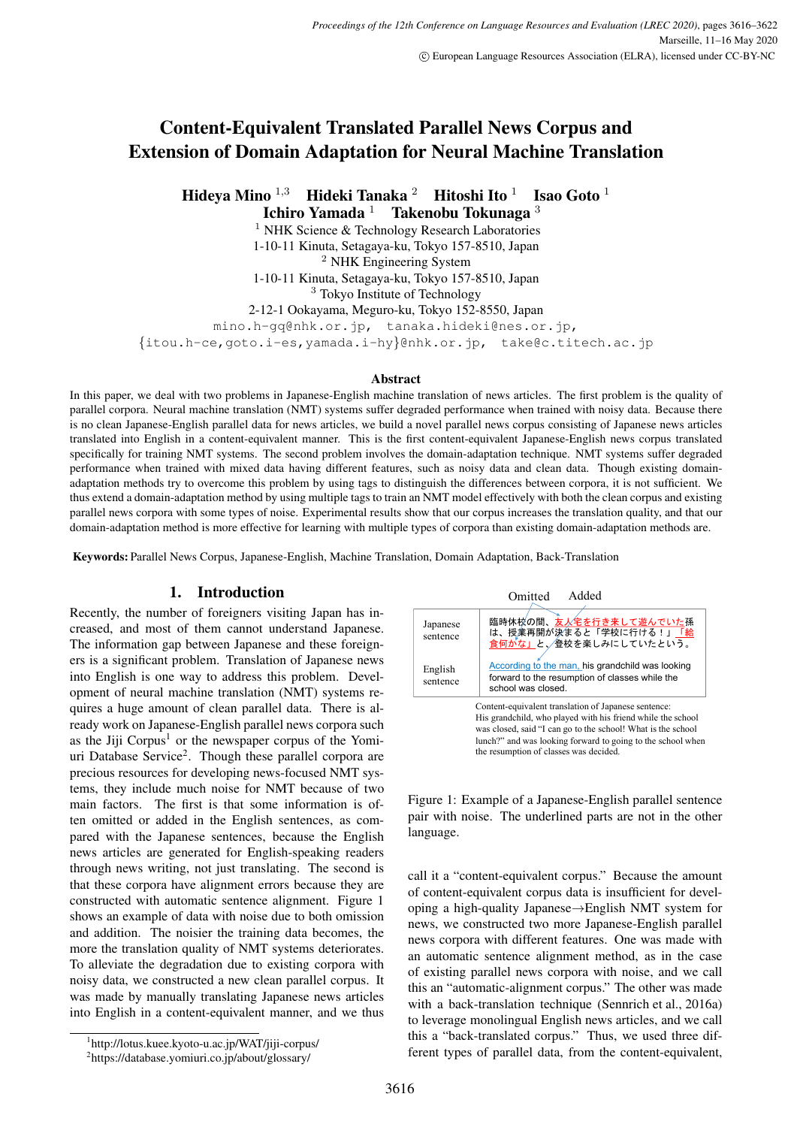# Content-Equivalent Translated Parallel News Corpus and Extension of Domain Adaptation for Neural Machine Translation

Hideya Mino <sup>1,3</sup> Hideki Tanaka <sup>2</sup> Hitoshi Ito <sup>1</sup><br>Ichiro Yamada <sup>1</sup> Takenobu Tokunaga **Isao Goto**  $<sup>1</sup>$ </sup>

Takenobu Tokunaga  $3$ 

<sup>1</sup> NHK Science & Technology Research Laboratories 1-10-11 Kinuta, Setagaya-ku, Tokyo 157-8510, Japan <sup>2</sup> NHK Engineering System

1-10-11 Kinuta, Setagaya-ku, Tokyo 157-8510, Japan

<sup>3</sup> Tokyo Institute of Technology

2-12-1 Ookayama, Meguro-ku, Tokyo 152-8550, Japan

mino.h-gq@nhk.or.jp, tanaka.hideki@nes.or.jp, *{*itou.h-ce,goto.i-es,yamada.i-hy*}*@nhk.or.jp, take@c.titech.ac.jp

#### **Abstract**

In this paper, we deal with two problems in Japanese-English machine translation of news articles. The first problem is the quality of parallel corpora. Neural machine translation (NMT) systems suffer degraded performance when trained with noisy data. Because there is no clean Japanese-English parallel data for news articles, we build a novel parallel news corpus consisting of Japanese news articles translated into English in a content-equivalent manner. This is the first content-equivalent Japanese-English news corpus translated specifically for training NMT systems. The second problem involves the domain-adaptation technique. NMT systems suffer degraded performance when trained with mixed data having different features, such as noisy data and clean data. Though existing domainadaptation methods try to overcome this problem by using tags to distinguish the differences between corpora, it is not sufficient. We thus extend a domain-adaptation method by using multiple tags to train an NMT model effectively with both the clean corpus and existing parallel news corpora with some types of noise. Experimental results show that our corpus increases the translation quality, and that our domain-adaptation method is more effective for learning with multiple types of corpora than existing domain-adaptation methods are.

Keywords: Parallel News Corpus, Japanese-English, Machine Translation, Domain Adaptation, Back-Translation

# 1. Introduction

Recently, the number of foreigners visiting Japan has increased, and most of them cannot understand Japanese. The information gap between Japanese and these foreigners is a significant problem. Translation of Japanese news into English is one way to address this problem. Development of neural machine translation (NMT) systems requires a huge amount of clean parallel data. There is already work on Japanese-English parallel news corpora such as the Jiji  $Corpus<sup>1</sup>$  or the newspaper corpus of the Yomiuri Database Service<sup>2</sup>. Though these parallel corpora are precious resources for developing news-focused NMT systems, they include much noise for NMT because of two main factors. The first is that some information is often omitted or added in the English sentences, as compared with the Japanese sentences, because the English news articles are generated for English-speaking readers through news writing, not just translating. The second is that these corpora have alignment errors because they are constructed with automatic sentence alignment. Figure 1 shows an example of data with noise due to both omission and addition. The noisier the training data becomes, the more the translation quality of NMT systems deteriorates. To alleviate the degradation due to existing corpora with noisy data, we constructed a new clean parallel corpus. It was made by manually translating Japanese news articles into English in a content-equivalent manner, and we thus



Figure 1: Example of a Japanese-English parallel sentence pair with noise. The underlined parts are not in the other language.

call it a "content-equivalent corpus." Because the amount of content-equivalent corpus data is insufficient for developing a high-quality Japanese*→*English NMT system for news, we constructed two more Japanese-English parallel news corpora with different features. One was made with an automatic sentence alignment method, as in the case of existing parallel news corpora with noise, and we call this an "automatic-alignment corpus." The other was made with a back-translation technique (Sennrich et al., 2016a) to leverage monolingual English news articles, and we call this a "back-translated corpus." Thus, we used three different types of parallel data, from the content-equivalent,

<sup>1</sup> http://lotus.kuee.kyoto-u.ac.jp/WAT/jiji-corpus/

<sup>2</sup> https://database.yomiuri.co.jp/about/glossary/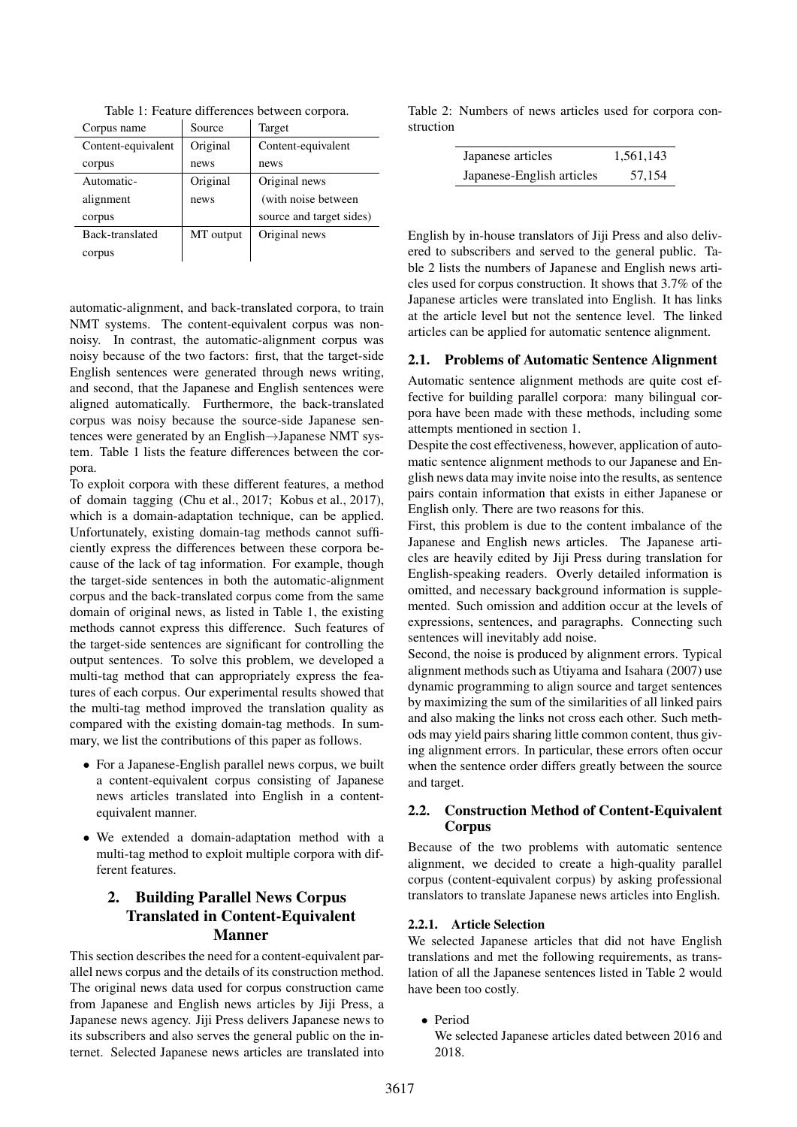| Corpus name        | Source    | Target                   |
|--------------------|-----------|--------------------------|
| Content-equivalent | Original  | Content-equivalent       |
| corpus             | news      | news                     |
| Automatic-         | Original  | Original news            |
| alignment          | news      | (with noise between      |
| corpus             |           | source and target sides) |
| Back-translated    | MT output | Original news            |
| corpus             |           |                          |

Table 1: Feature differences between corpora.

automatic-alignment, and back-translated corpora, to train NMT systems. The content-equivalent corpus was nonnoisy. In contrast, the automatic-alignment corpus was noisy because of the two factors: first, that the target-side English sentences were generated through news writing, and second, that the Japanese and English sentences were aligned automatically. Furthermore, the back-translated corpus was noisy because the source-side Japanese sentences were generated by an English*→*Japanese NMT system. Table 1 lists the feature differences between the corpora.

To exploit corpora with these different features, a method of domain tagging (Chu et al., 2017; Kobus et al., 2017), which is a domain-adaptation technique, can be applied. Unfortunately, existing domain-tag methods cannot sufficiently express the differences between these corpora because of the lack of tag information. For example, though the target-side sentences in both the automatic-alignment corpus and the back-translated corpus come from the same domain of original news, as listed in Table 1, the existing methods cannot express this difference. Such features of the target-side sentences are significant for controlling the output sentences. To solve this problem, we developed a multi-tag method that can appropriately express the features of each corpus. Our experimental results showed that the multi-tag method improved the translation quality as compared with the existing domain-tag methods. In summary, we list the contributions of this paper as follows.

- *•* For a Japanese-English parallel news corpus, we built a content-equivalent corpus consisting of Japanese news articles translated into English in a contentequivalent manner.
- *•* We extended a domain-adaptation method with a multi-tag method to exploit multiple corpora with different features.

# 2. Building Parallel News Corpus Translated in Content-Equivalent Manner

This section describes the need for a content-equivalent parallel news corpus and the details of its construction method. The original news data used for corpus construction came from Japanese and English news articles by Jiji Press, a Japanese news agency. Jiji Press delivers Japanese news to its subscribers and also serves the general public on the internet. Selected Japanese news articles are translated into

Table 2: Numbers of news articles used for corpora construction

| Japanese articles         | 1,561,143 |
|---------------------------|-----------|
| Japanese-English articles | 57,154    |

English by in-house translators of Jiji Press and also delivered to subscribers and served to the general public. Table 2 lists the numbers of Japanese and English news articles used for corpus construction. It shows that 3.7% of the Japanese articles were translated into English. It has links at the article level but not the sentence level. The linked articles can be applied for automatic sentence alignment.

# 2.1. Problems of Automatic Sentence Alignment

Automatic sentence alignment methods are quite cost effective for building parallel corpora: many bilingual corpora have been made with these methods, including some attempts mentioned in section 1.

Despite the cost effectiveness, however, application of automatic sentence alignment methods to our Japanese and English news data may invite noise into the results, as sentence pairs contain information that exists in either Japanese or English only. There are two reasons for this.

First, this problem is due to the content imbalance of the Japanese and English news articles. The Japanese articles are heavily edited by Jiji Press during translation for English-speaking readers. Overly detailed information is omitted, and necessary background information is supplemented. Such omission and addition occur at the levels of expressions, sentences, and paragraphs. Connecting such sentences will inevitably add noise.

Second, the noise is produced by alignment errors. Typical alignment methods such as Utiyama and Isahara (2007) use dynamic programming to align source and target sentences by maximizing the sum of the similarities of all linked pairs and also making the links not cross each other. Such methods may yield pairs sharing little common content, thus giving alignment errors. In particular, these errors often occur when the sentence order differs greatly between the source and target.

# 2.2. Construction Method of Content-Equivalent Corpus

Because of the two problems with automatic sentence alignment, we decided to create a high-quality parallel corpus (content-equivalent corpus) by asking professional translators to translate Japanese news articles into English.

# 2.2.1. Article Selection

We selected Japanese articles that did not have English translations and met the following requirements, as translation of all the Japanese sentences listed in Table 2 would have been too costly.

*•* Period

We selected Japanese articles dated between 2016 and 2018.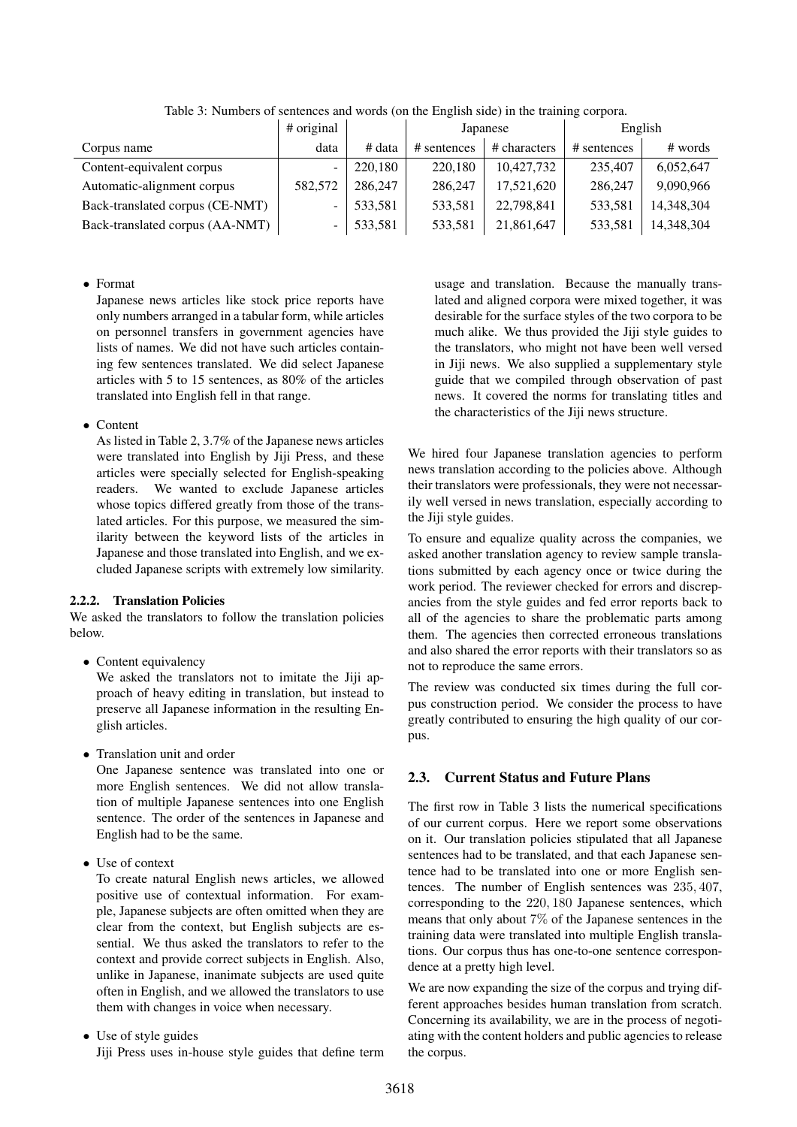|                                 | # original |         | Japanese    |              | English     |            |
|---------------------------------|------------|---------|-------------|--------------|-------------|------------|
| Corpus name                     | data       | # data  | # sentences | # characters | # sentences | # words    |
| Content-equivalent corpus       |            | 220.180 | 220,180     | 10,427,732   | 235,407     | 6,052,647  |
| Automatic-alignment corpus      | 582,572    | 286,247 | 286,247     | 17.521.620   | 286,247     | 9,090,966  |
| Back-translated corpus (CE-NMT) |            | 533.581 | 533,581     | 22,798,841   | 533.581     | 14,348,304 |
| Back-translated corpus (AA-NMT) |            | 533,581 | 533,581     | 21,861,647   | 533,581     | 14,348,304 |

Table 3: Numbers of sentences and words (on the English side) in the training corpora.

# *•* Format

Japanese news articles like stock price reports have only numbers arranged in a tabular form, while articles on personnel transfers in government agencies have lists of names. We did not have such articles containing few sentences translated. We did select Japanese articles with 5 to 15 sentences, as 80% of the articles translated into English fell in that range.

### *•* Content

As listed in Table 2, 3.7% of the Japanese news articles were translated into English by Jiji Press, and these articles were specially selected for English-speaking readers. We wanted to exclude Japanese articles whose topics differed greatly from those of the translated articles. For this purpose, we measured the similarity between the keyword lists of the articles in Japanese and those translated into English, and we excluded Japanese scripts with extremely low similarity.

# 2.2.2. Translation Policies

We asked the translators to follow the translation policies below.

• Content equivalency

We asked the translators not to imitate the Jiji approach of heavy editing in translation, but instead to preserve all Japanese information in the resulting English articles.

*•* Translation unit and order

One Japanese sentence was translated into one or more English sentences. We did not allow translation of multiple Japanese sentences into one English sentence. The order of the sentences in Japanese and English had to be the same.

*•* Use of context

To create natural English news articles, we allowed positive use of contextual information. For example, Japanese subjects are often omitted when they are clear from the context, but English subjects are essential. We thus asked the translators to refer to the context and provide correct subjects in English. Also, unlike in Japanese, inanimate subjects are used quite often in English, and we allowed the translators to use them with changes in voice when necessary.

*•* Use of style guides

Jiji Press uses in-house style guides that define term

usage and translation. Because the manually translated and aligned corpora were mixed together, it was desirable for the surface styles of the two corpora to be much alike. We thus provided the Jiji style guides to the translators, who might not have been well versed in Jiji news. We also supplied a supplementary style guide that we compiled through observation of past news. It covered the norms for translating titles and the characteristics of the Jiji news structure.

We hired four Japanese translation agencies to perform news translation according to the policies above. Although their translators were professionals, they were not necessarily well versed in news translation, especially according to the Jiji style guides.

To ensure and equalize quality across the companies, we asked another translation agency to review sample translations submitted by each agency once or twice during the work period. The reviewer checked for errors and discrepancies from the style guides and fed error reports back to all of the agencies to share the problematic parts among them. The agencies then corrected erroneous translations and also shared the error reports with their translators so as not to reproduce the same errors.

The review was conducted six times during the full corpus construction period. We consider the process to have greatly contributed to ensuring the high quality of our corpus.

# 2.3. Current Status and Future Plans

The first row in Table 3 lists the numerical specifications of our current corpus. Here we report some observations on it. Our translation policies stipulated that all Japanese sentences had to be translated, and that each Japanese sentence had to be translated into one or more English sentences. The number of English sentences was 235*,* 407, corresponding to the 220*,* 180 Japanese sentences, which means that only about 7% of the Japanese sentences in the training data were translated into multiple English translations. Our corpus thus has one-to-one sentence correspondence at a pretty high level.

We are now expanding the size of the corpus and trying different approaches besides human translation from scratch. Concerning its availability, we are in the process of negotiating with the content holders and public agencies to release the corpus.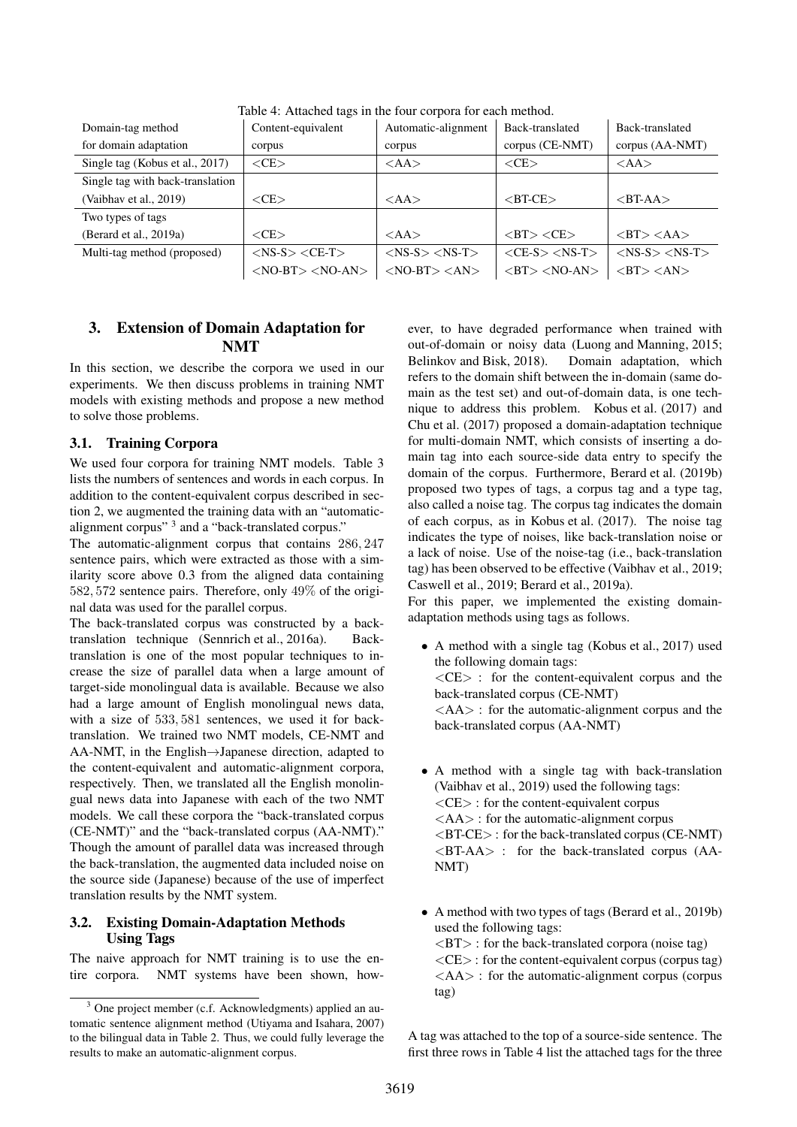| Domain-tag method                | Content-equivalent          | Automatic-alignment       | Back-translated                         | Back-translated                   |
|----------------------------------|-----------------------------|---------------------------|-----------------------------------------|-----------------------------------|
| for domain adaptation            | corpus                      | corpus                    | corpus (CE-NMT)                         | corpus (AA-NMT)                   |
| Single tag (Kobus et al., 2017)  | $<$ CE $>$                  | <aa></aa>                 | < <b></b>                               | <aa></aa>                         |
| Single tag with back-translation |                             |                           |                                         |                                   |
| (Vaibhav et al., 2019)           | $\langle$ CE $>$            | <aa></aa>                 | $\langle$ BT-CE $>$                     | $\langle$ BT-AA $>$               |
| Two types of tags                |                             |                           |                                         |                                   |
| (Berard et al., 2019a)           | $<$ CE $>$                  | <aa></aa>                 | $\langle BT \rangle \langle CE \rangle$ | $\langle$ BT $>$ $\langle$ AA $>$ |
| Multi-tag method (proposed)      | $<$ NS-S $>$ $<$ CE-T $>$   | $<$ NS-S $>$ $<$ NS-T $>$ | $\langle$ CE-S $>$ $\langle$ NS-T $>$   | $<$ NS-S $>$ $<$ NS-T $>$         |
|                                  | $<$ NO-BT $>$ $<$ NO-AN $>$ | $<$ NO-BT $>$ $<$ AN $>$  | $\langle$ BT $>$ $\langle$ NO-AN $>$    | $\langle$ BT $>$ $\langle$ AN $>$ |

Table 4: Attached tags in the four corpora for each method.

# 3. Extension of Domain Adaptation for NMT

In this section, we describe the corpora we used in our experiments. We then discuss problems in training NMT models with existing methods and propose a new method to solve those problems.

#### 3.1. Training Corpora

We used four corpora for training NMT models. Table 3 lists the numbers of sentences and words in each corpus. In addition to the content-equivalent corpus described in section 2, we augmented the training data with an "automaticalignment corpus" 3 and a "back-translated corpus."

The automatic-alignment corpus that contains 286*,* 247 sentence pairs, which were extracted as those with a similarity score above 0.3 from the aligned data containing 582*,* 572 sentence pairs. Therefore, only 49% of the original data was used for the parallel corpus.

The back-translated corpus was constructed by a backtranslation technique (Sennrich et al., 2016a). Backtranslation is one of the most popular techniques to increase the size of parallel data when a large amount of target-side monolingual data is available. Because we also had a large amount of English monolingual news data, with a size of 533*,* 581 sentences, we used it for backtranslation. We trained two NMT models, CE-NMT and AA-NMT, in the English*→*Japanese direction, adapted to the content-equivalent and automatic-alignment corpora, respectively. Then, we translated all the English monolingual news data into Japanese with each of the two NMT models. We call these corpora the "back-translated corpus (CE-NMT)" and the "back-translated corpus (AA-NMT)." Though the amount of parallel data was increased through the back-translation, the augmented data included noise on the source side (Japanese) because of the use of imperfect translation results by the NMT system.

#### 3.2. Existing Domain-Adaptation Methods Using Tags

The naive approach for NMT training is to use the entire corpora. NMT systems have been shown, however, to have degraded performance when trained with out-of-domain or noisy data (Luong and Manning, 2015; Belinkov and Bisk, 2018). Domain adaptation, which refers to the domain shift between the in-domain (same domain as the test set) and out-of-domain data, is one technique to address this problem. Kobus et al. (2017) and Chu et al. (2017) proposed a domain-adaptation technique for multi-domain NMT, which consists of inserting a domain tag into each source-side data entry to specify the domain of the corpus. Furthermore, Berard et al. (2019b) proposed two types of tags, a corpus tag and a type tag, also called a noise tag. The corpus tag indicates the domain of each corpus, as in Kobus et al. (2017). The noise tag indicates the type of noises, like back-translation noise or a lack of noise. Use of the noise-tag (i.e., back-translation tag) has been observed to be effective (Vaibhav et al., 2019; Caswell et al., 2019; Berard et al., 2019a).

For this paper, we implemented the existing domainadaptation methods using tags as follows.

- A method with a single tag (Kobus et al., 2017) used the following domain tags: *<*CE*>* : for the content-equivalent corpus and the back-translated corpus (CE-NMT) *<*AA*>* : for the automatic-alignment corpus and the back-translated corpus (AA-NMT)
- *•* A method with a single tag with back-translation (Vaibhav et al., 2019) used the following tags: *<*CE*>* : for the content-equivalent corpus *<*AA*>* : for the automatic-alignment corpus *<*BT-CE*>* : for the back-translated corpus (CE-NMT) *<*BT-AA*>* : for the back-translated corpus (AA-NMT)
- A method with two types of tags (Berard et al., 2019b) used the following tags: *<*BT*>* : for the back-translated corpora (noise tag) *<*CE*>* : for the content-equivalent corpus (corpus tag) *<*AA*>* : for the automatic-alignment corpus (corpus tag)

A tag was attached to the top of a source-side sentence. The first three rows in Table 4 list the attached tags for the three

One project member (c.f. Acknowledgments) applied an automatic sentence alignment method (Utiyama and Isahara, 2007) to the bilingual data in Table 2. Thus, we could fully leverage the results to make an automatic-alignment corpus.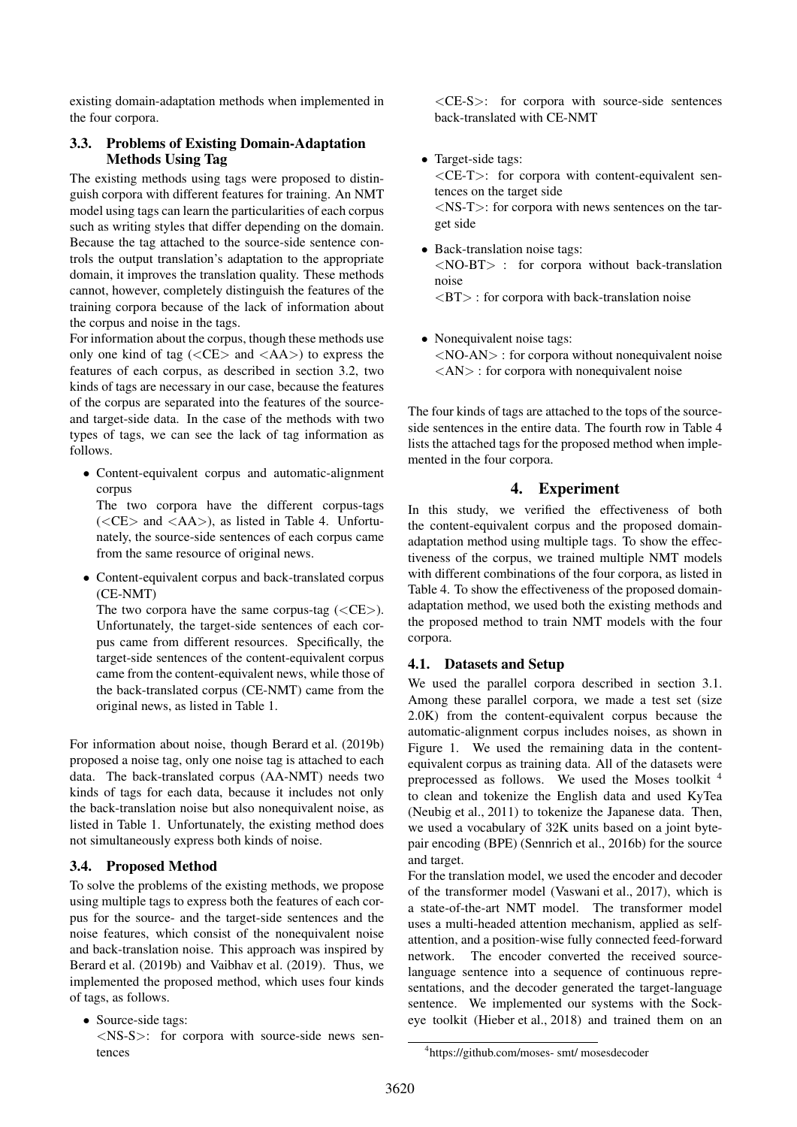existing domain-adaptation methods when implemented in the four corpora.

#### 3.3. Problems of Existing Domain-Adaptation Methods Using Tag

The existing methods using tags were proposed to distinguish corpora with different features for training. An NMT model using tags can learn the particularities of each corpus such as writing styles that differ depending on the domain. Because the tag attached to the source-side sentence controls the output translation's adaptation to the appropriate domain, it improves the translation quality. These methods cannot, however, completely distinguish the features of the training corpora because of the lack of information about the corpus and noise in the tags.

For information about the corpus, though these methods use only one kind of tag (*<*CE*>* and *<*AA*>*) to express the features of each corpus, as described in section 3.2, two kinds of tags are necessary in our case, because the features of the corpus are separated into the features of the sourceand target-side data. In the case of the methods with two types of tags, we can see the lack of tag information as follows.

*•* Content-equivalent corpus and automatic-alignment corpus

The two corpora have the different corpus-tags (*<*CE*>* and *<*AA*>*), as listed in Table 4. Unfortunately, the source-side sentences of each corpus came from the same resource of original news.

*•* Content-equivalent corpus and back-translated corpus (CE-NMT)

The two corpora have the same corpus-tag (*<*CE*>*). Unfortunately, the target-side sentences of each corpus came from different resources. Specifically, the target-side sentences of the content-equivalent corpus came from the content-equivalent news, while those of the back-translated corpus (CE-NMT) came from the original news, as listed in Table 1.

For information about noise, though Berard et al. (2019b) proposed a noise tag, only one noise tag is attached to each data. The back-translated corpus (AA-NMT) needs two kinds of tags for each data, because it includes not only the back-translation noise but also nonequivalent noise, as listed in Table 1. Unfortunately, the existing method does not simultaneously express both kinds of noise.

#### 3.4. Proposed Method

To solve the problems of the existing methods, we propose using multiple tags to express both the features of each corpus for the source- and the target-side sentences and the noise features, which consist of the nonequivalent noise and back-translation noise. This approach was inspired by Berard et al. (2019b) and Vaibhav et al. (2019). Thus, we implemented the proposed method, which uses four kinds of tags, as follows.

*•* Source-side tags: *<*NS-S*>*: for corpora with source-side news sentences

*<*CE-S*>*: for corpora with source-side sentences back-translated with CE-NMT

- *•* Target-side tags: *<*CE-T*>*: for corpora with content-equivalent sentences on the target side *<*NS-T*>*: for corpora with news sentences on the target side
- *•* Back-translation noise tags: *<*NO-BT*>* : for corpora without back-translation noise *<*BT*>* : for corpora with back-translation noise
- *•* Nonequivalent noise tags: *<*NO-AN*>* : for corpora without nonequivalent noise *<*AN*>* : for corpora with nonequivalent noise

The four kinds of tags are attached to the tops of the sourceside sentences in the entire data. The fourth row in Table 4 lists the attached tags for the proposed method when implemented in the four corpora.

# 4. Experiment

In this study, we verified the effectiveness of both the content-equivalent corpus and the proposed domainadaptation method using multiple tags. To show the effectiveness of the corpus, we trained multiple NMT models with different combinations of the four corpora, as listed in Table 4. To show the effectiveness of the proposed domainadaptation method, we used both the existing methods and the proposed method to train NMT models with the four corpora.

#### 4.1. Datasets and Setup

We used the parallel corpora described in section 3.1. Among these parallel corpora, we made a test set (size 2.0K) from the content-equivalent corpus because the automatic-alignment corpus includes noises, as shown in Figure 1. We used the remaining data in the contentequivalent corpus as training data. All of the datasets were preprocessed as follows. We used the Moses toolkit <sup>4</sup> to clean and tokenize the English data and used KyTea (Neubig et al., 2011) to tokenize the Japanese data. Then, we used a vocabulary of 32K units based on a joint bytepair encoding (BPE) (Sennrich et al., 2016b) for the source and target.

For the translation model, we used the encoder and decoder of the transformer model (Vaswani et al., 2017), which is a state-of-the-art NMT model. The transformer model uses a multi-headed attention mechanism, applied as selfattention, and a position-wise fully connected feed-forward network. The encoder converted the received sourcelanguage sentence into a sequence of continuous representations, and the decoder generated the target-language sentence. We implemented our systems with the Sockeye toolkit (Hieber et al., 2018) and trained them on an

<sup>4</sup> https://github.com/moses- smt/ mosesdecoder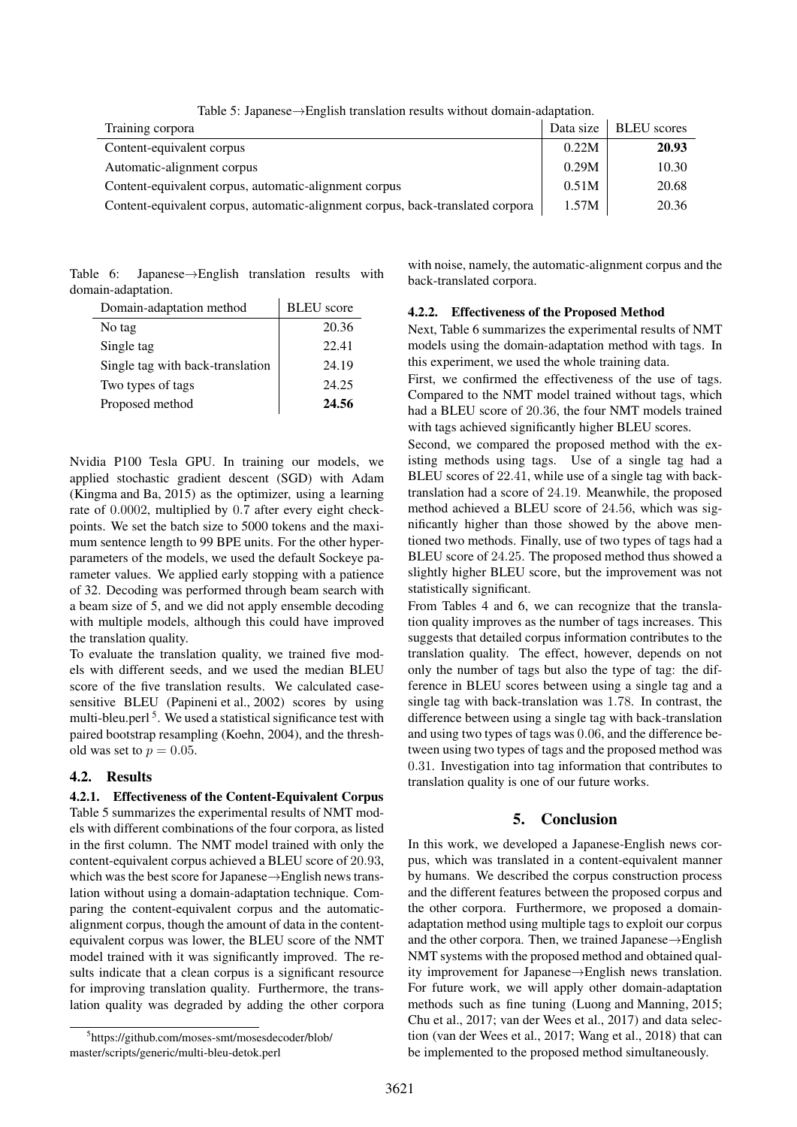| Training corpora                                                               | Data size | <b>BLEU</b> scores |
|--------------------------------------------------------------------------------|-----------|--------------------|
| Content-equivalent corpus                                                      | 0.22M     | 20.93              |
| Automatic-alignment corpus                                                     | 0.29M     | 10.30              |
| Content-equivalent corpus, automatic-alignment corpus                          | 0.51M     | 20.68              |
| Content-equivalent corpus, automatic-alignment corpus, back-translated corpora | 1.57M     | 20.36              |

Table 6: Japanese*→*English translation results with domain-adaptation.

| Domain-adaptation method         | <b>BLEU</b> score |
|----------------------------------|-------------------|
| No tag                           | 20.36             |
| Single tag                       | 22.41             |
| Single tag with back-translation | 24.19             |
| Two types of tags                | 24.25             |
| Proposed method                  | 24.56             |

Nvidia P100 Tesla GPU. In training our models, we applied stochastic gradient descent (SGD) with Adam (Kingma and Ba, 2015) as the optimizer, using a learning rate of 0*.*0002, multiplied by 0*.*7 after every eight checkpoints. We set the batch size to 5000 tokens and the maximum sentence length to 99 BPE units. For the other hyperparameters of the models, we used the default Sockeye parameter values. We applied early stopping with a patience of 32. Decoding was performed through beam search with a beam size of 5, and we did not apply ensemble decoding with multiple models, although this could have improved the translation quality.

To evaluate the translation quality, we trained five models with different seeds, and we used the median BLEU score of the five translation results. We calculated casesensitive BLEU (Papineni et al., 2002) scores by using multi-bleu.perl<sup>5</sup>. We used a statistical significance test with paired bootstrap resampling (Koehn, 2004), and the threshold was set to  $p = 0.05$ .

#### 4.2. Results

# 4.2.1. Effectiveness of the Content-Equivalent Corpus

Table 5 summarizes the experimental results of NMT models with different combinations of the four corpora, as listed in the first column. The NMT model trained with only the content-equivalent corpus achieved a BLEU score of 20*.*93, which was the best score for Japanese*→*English news translation without using a domain-adaptation technique. Comparing the content-equivalent corpus and the automaticalignment corpus, though the amount of data in the contentequivalent corpus was lower, the BLEU score of the NMT model trained with it was significantly improved. The results indicate that a clean corpus is a significant resource for improving translation quality. Furthermore, the translation quality was degraded by adding the other corpora

with noise, namely, the automatic-alignment corpus and the back-translated corpora.

#### 4.2.2. Effectiveness of the Proposed Method

Next, Table 6 summarizes the experimental results of NMT models using the domain-adaptation method with tags. In this experiment, we used the whole training data.

First, we confirmed the effectiveness of the use of tags. Compared to the NMT model trained without tags, which had a BLEU score of 20*.*36, the four NMT models trained with tags achieved significantly higher BLEU scores.

Second, we compared the proposed method with the existing methods using tags. Use of a single tag had a BLEU scores of 22*.*41, while use of a single tag with backtranslation had a score of 24*.*19. Meanwhile, the proposed method achieved a BLEU score of 24*.*56, which was significantly higher than those showed by the above mentioned two methods. Finally, use of two types of tags had a BLEU score of 24*.*25. The proposed method thus showed a slightly higher BLEU score, but the improvement was not statistically significant.

From Tables 4 and 6, we can recognize that the translation quality improves as the number of tags increases. This suggests that detailed corpus information contributes to the translation quality. The effect, however, depends on not only the number of tags but also the type of tag: the difference in BLEU scores between using a single tag and a single tag with back-translation was 1*.*78. In contrast, the difference between using a single tag with back-translation and using two types of tags was 0*.*06, and the difference between using two types of tags and the proposed method was 0*.*31. Investigation into tag information that contributes to translation quality is one of our future works.

# 5. Conclusion

In this work, we developed a Japanese-English news corpus, which was translated in a content-equivalent manner by humans. We described the corpus construction process and the different features between the proposed corpus and the other corpora. Furthermore, we proposed a domainadaptation method using multiple tags to exploit our corpus and the other corpora. Then, we trained Japanese*→*English NMT systems with the proposed method and obtained quality improvement for Japanese*→*English news translation. For future work, we will apply other domain-adaptation methods such as fine tuning (Luong and Manning, 2015; Chu et al., 2017; van der Wees et al., 2017) and data selection (van der Wees et al., 2017; Wang et al., 2018) that can be implemented to the proposed method simultaneously.

<sup>5</sup> https://github.com/moses-smt/mosesdecoder/blob/ master/scripts/generic/multi-bleu-detok.perl